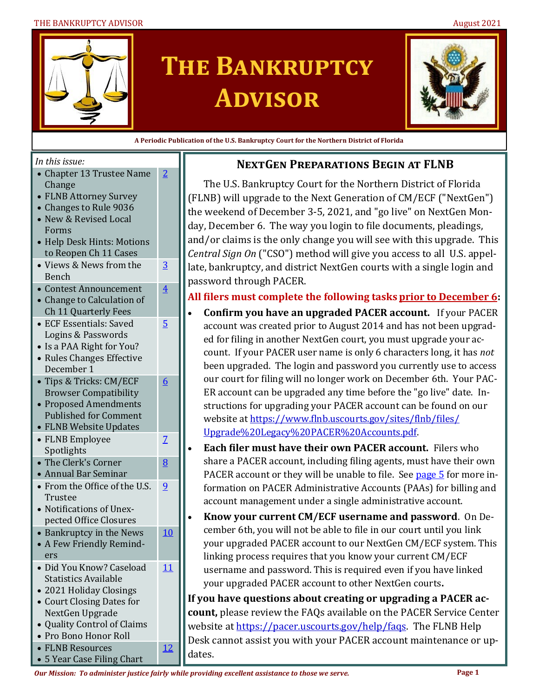#### THE BANKRUPTCY ADVISOR **AUGUST 2021** August 2021



# **The Bankruptcy Advisor**



**A Periodic Publication of the U.S. Bankruptcy Court for the Northern District of Florida**

#### *In this issue:*

| • Chapter 13 Trustee Name |
|---------------------------|
| <b>Change</b>             |
| • FLNB Attorney Survey    |

[2](#page-1-0)

[3](#page-2-0)

[4](#page-3-0)

[5](#page-4-0)

[6](#page-5-0)

[7](#page-6-0)

[8](#page-7-0)

[9](#page-8-0)

[10](#page-9-0)

[11](#page-10-0)

[12](#page-11-0)

- Changes to Rule 9036
- New & Revised Local Forms
- Help Desk Hints: Motions to Reopen Ch 11 Cases
- Views & News from the Bench
- Contest Announcement • Change to Calculation of Ch 11 Quarterly Fees
- ECF Essentials: Saved Logins & Passwords
- Is a PAA Right for You?
- Rules Changes Effective December 1
- Tips & Tricks: CM/ECF Browser Compatibility
- Proposed Amendments Published for Comment
- FLNB Website Updates
- FLNB Employee
- Spotlights
- The Clerk's Corner • Annual Bar Seminar
- From the Office of the U.S. Trustee
- Notifications of Unexpected Office Closures
- Bankruptcy in the News • A Few Friendly Remind-
- ers
- Did You Know? Caseload Statistics Available • 2021 Holiday Closings
- Court Closing Dates for NextGen Upgrade
- Quality Control of Claims
- Pro Bono Honor Roll
- FLNB Resources
- 5 Year Case Filing Chart

#### **NextGen Preparations Begin at FLNB**

The U.S. Bankruptcy Court for the Northern District of Florida (FLNB) will upgrade to the Next Generation of CM/ECF ("NextGen") the weekend of December 3-5, 2021, and "go live" on NextGen Monday, December 6. The way you login to file documents, pleadings, and/or claims is the only change you will see with this upgrade. This *Central Sign On* ("CSO") method will give you access to all U.S. appellate, bankruptcy, and district NextGen courts with a single login and password through PACER.

#### **All filers must complete the following tasks prior to December 6:**

- **Confirm you have an upgraded PACER account.** If your PACER account was created prior to August 2014 and has not been upgraded for filing in another NextGen court, you must upgrade your account. If your PACER user name is only 6 characters long, it has *not*  been upgraded. The login and password you currently use to access our court for filing will no longer work on December 6th. Your PAC-ER account can be upgraded any time before the "go live" date. Instructions for upgrading your PACER account can be found on our website at [https://www.flnb.uscourts.gov/sites/flnb/files/](https://www.flnb.uscourts.gov/sites/flnb/files/Upgrade%20Legacy%20PACER%20Accounts.pdf) [Upgrade%20Legacy%20PACER%20Accounts.pdf.](https://www.flnb.uscourts.gov/sites/flnb/files/Upgrade%20Legacy%20PACER%20Accounts.pdf)
- **Each filer must have their own PACER account.** Filers who share a PACER account, including filing agents, must have their own PACER account or they will be unable to file. See [page 5](#page-4-0) for more information on PACER Administrative Accounts (PAAs) for billing and account management under a single administrative account.
- **Know your current CM/ECF username and password**. On December 6th, you will not be able to file in our court until you link your upgraded PACER account to our NextGen CM/ECF system. This linking process requires that you know your current CM/ECF username and password. This is required even if you have linked your upgraded PACER account to other NextGen courts**.**

**If you have questions about creating or upgrading a PACER account,** please review the FAQs available on the PACER Service Center website at [https://pacer.uscourts.gov/help/faqs.](https://pacer.uscourts.gov/help/faqs) The FLNB Help Desk cannot assist you with your PACER account maintenance or updates.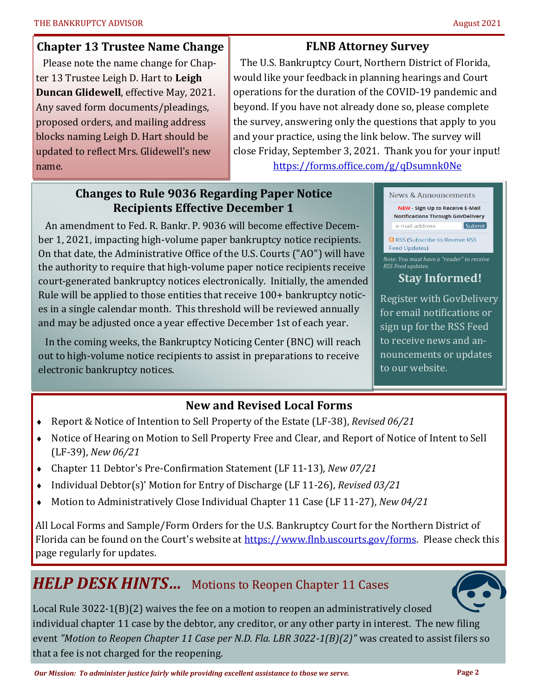#### <span id="page-1-0"></span>**Chapter 13 Trustee Name Change**

 Please note the name change for Chapter 13 Trustee Leigh D. Hart to **Leigh Duncan Glidewell**, effective May, 2021. Any saved form documents/pleadings, proposed orders, and mailing address blocks naming Leigh D. Hart should be updated to reflect Mrs. Glidewell's new name.

# **FLNB Attorney Survey**

 The U.S. Bankruptcy Court, Northern District of Florida, would like your feedback in planning hearings and Court operations for the duration of the COVID-19 pandemic and beyond. If you have not already done so, please complete the survey, answering only the questions that apply to you and your practice, using the link below. The survey will close Friday, September 3, 2021. Thank you for your input!

<https://forms.office.com/g/qDsumnk0Ne>

# **Changes to Rule 9036 Regarding Paper Notice Recipients Effective December 1**

 An amendment to Fed. R. Bankr. P. 9036 will become effective December 1, 2021, impacting high-volume paper bankruptcy notice recipients. On that date, the Administrative Office of the U.S. Courts ("AO") will have the authority to require that high-volume paper notice recipients receive court-generated bankruptcy notices electronically. Initially, the amended Rule will be applied to those entities that receive 100+ bankruptcy notices in a single calendar month. This threshold will be reviewed annually and may be adjusted once a year effective December 1st of each year.

 In the coming weeks, the Bankruptcy Noticing Center (BNC) will reach out to high-volume notice recipients to assist in preparations to receive electronic bankruptcy notices.

# **New and Revised Local Forms**

- Report & Notice of Intention to Sell Property of the Estate (LF-38), *Revised 06/21*
- Notice of Hearing on Motion to Sell Property Free and Clear, and Report of Notice of Intent to Sell (LF-39), *New 06/21*
- Chapter 11 Debtor's Pre-Confirmation Statement (LF 11-13), *New 07/21*
- Individual Debtor(s)' Motion for Entry of Discharge (LF 11-26), *Revised 03/21*
- Motion to Administratively Close Individual Chapter 11 Case (LF 11-27), *New 04/21*

All Local Forms and Sample/Form Orders for the U.S. Bankruptcy Court for the Northern District of Florida can be found on the Court's website at [https://www.flnb.uscourts.gov/forms.](https://www.flnb.uscourts.gov/forms) Please check this page regularly for updates.

# *HELP DESK HINTS…* Motions to Reopen Chapter 11 Cases



Local Rule 3022-1(B)(2) waives the fee on a motion to reopen an administratively closed individual chapter 11 case by the debtor, any creditor, or any other party in interest. The new filing event *"Motion to Reopen Chapter 11 Case per N.D. Fla. LBR 3022-1(B)(2)"* was created to assist filers so that a fee is not charged for the reopening.



# **Stay Informed!**

Register with GovDelivery for email notifications or sign up for the RSS Feed to receive news and announcements or updates to our website.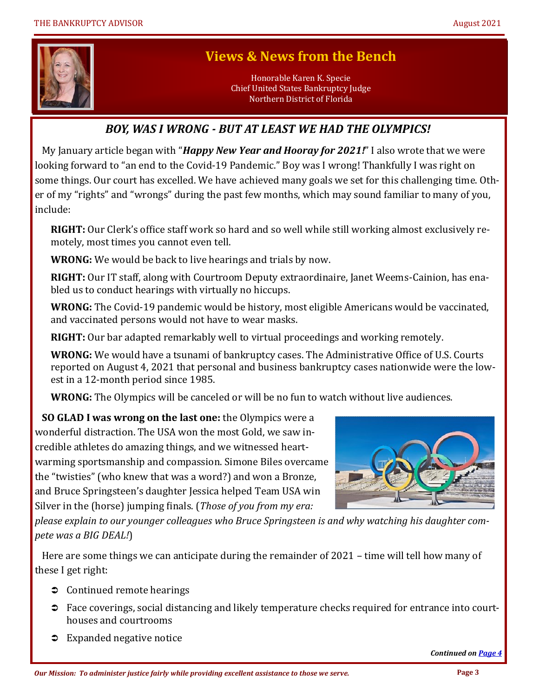<span id="page-2-0"></span>

# **Views & News from the Bench**

Honorable Karen K. Specie Chief United States Bankruptcy Judge Northern District of Florida

# *BOY, WAS I WRONG - BUT AT LEAST WE HAD THE OLYMPICS!*

 My January article began with "*Happy New Year and Hooray for 2021!*" I also wrote that we were looking forward to "an end to the Covid-19 Pandemic." Boy was I wrong! Thankfully I was right on some things. Our court has excelled. We have achieved many goals we set for this challenging time. Other of my "rights" and "wrongs" during the past few months, which may sound familiar to many of you, include:

**RIGHT:** Our Clerk's office staff work so hard and so well while still working almost exclusively remotely, most times you cannot even tell.

**WRONG:** We would be back to live hearings and trials by now.

**RIGHT:** Our IT staff, along with Courtroom Deputy extraordinaire, Janet Weems-Cainion, has enabled us to conduct hearings with virtually no hiccups.

**WRONG:** The Covid-19 pandemic would be history, most eligible Americans would be vaccinated, and vaccinated persons would not have to wear masks.

**RIGHT:** Our bar adapted remarkably well to virtual proceedings and working remotely.

**WRONG:** We would have a tsunami of bankruptcy cases. The Administrative Office of U.S. Courts reported on August 4, 2021 that personal and business bankruptcy cases nationwide were the lowest in a 12-month period since 1985.

**WRONG:** The Olympics will be canceled or will be no fun to watch without live audiences.

 **SO GLAD I was wrong on the last one:** the Olympics were a wonderful distraction. The USA won the most Gold, we saw incredible athletes do amazing things, and we witnessed heartwarming sportsmanship and compassion. Simone Biles overcame the "twisties" (who knew that was a word?) and won a Bronze, and Bruce Springsteen's daughter Jessica helped Team USA win Silver in the (horse) jumping finals. (*Those of you from my era:* 



*please explain to our younger colleagues who Bruce Springsteen is and why watching his daughter compete was a BIG DEAL!*)

 Here are some things we can anticipate during the remainder of 2021 – time will tell how many of these I get right:

- **↑** Continued remote hearings
- Face coverings, social distancing and likely temperature checks required for entrance into courthouses and courtrooms
- **■** Expanded negative notice

*Continued on [Page 4](#page-3-0)*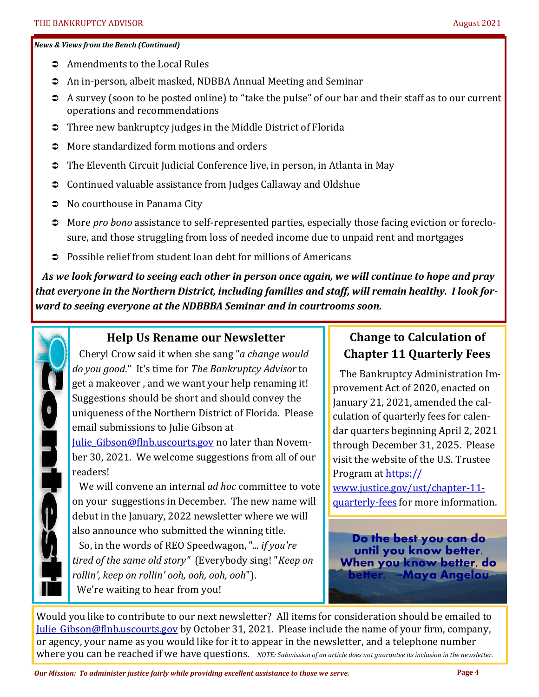#### <span id="page-3-0"></span>*News & Views from the Bench (Continued)*

- **→** Amendments to the Local Rules
- An in-person, albeit masked, NDBBA Annual Meeting and Seminar
- <sup>2</sup> A survey (soon to be posted online) to "take the pulse" of our bar and their staff as to our current operations and recommendations
- Three new bankruptcy judges in the Middle District of Florida
- $\Rightarrow$  More standardized form motions and orders
- The Eleventh Circuit Judicial Conference live, in person, in Atlanta in May
- Continued valuable assistance from Judges Callaway and Oldshue
- No courthouse in Panama City
- More *pro bono* assistance to self-represented parties, especially those facing eviction or foreclosure, and those struggling from loss of needed income due to unpaid rent and mortgages
- Possible relief from student loan debt for millions of Americans

 *As we look forward to seeing each other in person once again, we will continue to hope and pray that everyone in the Northern District, including families and staff, will remain healthy. I look forward to seeing everyone at the NDBBBA Seminar and in courtrooms soon.*



# **Help Us Rename our Newsletter**

 Cheryl Crow said it when she sang "*a change would do you good*." It's time for *The Bankruptcy Advisor* to get a makeover *,* and we want your help renaming it! Suggestions should be short and should convey the uniqueness of the Northern District of Florida. Please email submissions to Julie Gibson at

Julie Gibson@flnb.uscourts.gov no later than November 30, 2021. We welcome suggestions from all of our readers!

 We will convene an internal *ad hoc* committee to vote on your suggestions in December. The new name will debut in the January, 2022 newsletter where we will also announce who submitted the winning title.

 So, in the words of REO Speedwagon, "*... if you're tired of the same old story"* (Everybody sing! "*Keep on rollin', keep on rollin' ooh, ooh, ooh, ooh*"). We're waiting to hear from you!

# **Change to Calculation of Chapter 11 Quarterly Fees**

 The Bankruptcy Administration Improvement Act of 2020, enacted on January 21, 2021, amended the calculation of quarterly fees for calendar quarters beginning April 2, 2021 through December 31, 2025. Please visit the website of the U.S. Trustee Program at [https://](https://www.justice.gov/ust/chapter-11-quarterly-fees) [www.justice.gov/ust/chapter](https://www.justice.gov/ust/chapter-11-quarterly-fees)-11 [quarterly](https://www.justice.gov/ust/chapter-11-quarterly-fees)-fees for more information.

**Do the best you can do until you know better. When you know better, do better. ~Maya Angelou**

Would you like to contribute to our next newsletter? All items for consideration should be emailed to [Julie\\_Gibson@flnb.uscourts.gov](mailto:Julie_Gibson@flnb.uscourts.gov?subject=Newsletter%20article%20for%20consideration) by October 31, 2021. Please include the name of your firm, company, or agency, your name as you would like for it to appear in the newsletter, and a telephone number where you can be reached if we have questions. *NOTE: Submission of an article does not guarantee its inclusion in the newsletter.*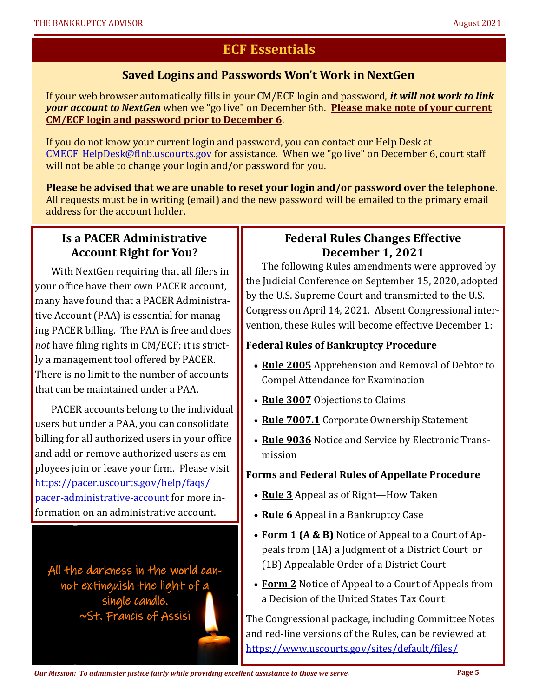# **ECF Essentials**

#### **Saved Logins and Passwords Won't Work in NextGen**

<span id="page-4-0"></span>If your web browser automatically fills in your CM/ECF login and password, *it will not work to link your account to NextGen* when we "go live" on December 6th. **Please make note of your current CM/ECF login and password prior to December 6**.

If you do not know your current login and password, you can contact our Help Desk at CMECF HelpDesk@flnb.uscourts.gov for assistance. When we "go live" on December 6, court staff will not be able to change your login and/or password for you.

**Please be advised that we are unable to reset your login and/or password over the telephone**. All requests must be in writing (email) and the new password will be emailed to the primary email address for the account holder.

## **Is a PACER Administrative Account Right for You?**

With NextGen requiring that all filers in your office have their own PACER account, many have found that a PACER Administrative Account (PAA) is essential for managing PACER billing. The PAA is free and does *not* have filing rights in CM/ECF; it is strictly a management tool offered by PACER. There is no limit to the number of accounts that can be maintained under a PAA.

PACER accounts belong to the individual users but under a PAA, you can consolidate billing for all authorized users in your office and add or remove authorized users as employees join or leave your firm. Please visit [https://pacer.uscourts.gov/help/faqs/](https://pacer.uscourts.gov/help/faqs/pacer-administrative-account) pacer-[administrative](https://pacer.uscourts.gov/help/faqs/pacer-administrative-account)-account for more information on an administrative account.

All the darkness in the world cannot extinguish the light of a single candle. ~St. Francis of Assisi

#### **Federal Rules Changes Effective December 1, 2021**

The following Rules amendments were approved by the Judicial Conference on September 15, 2020, adopted by the U.S. Supreme Court and transmitted to the U.S. Congress on April 14, 2021. Absent Congressional intervention, these Rules will become effective December 1:

#### **Federal Rules of Bankruptcy Procedure**

- **Rule 2005** Apprehension and Removal of Debtor to Compel Attendance for Examination
- **Rule 3007** Objections to Claims
- **Rule 7007.1** Corporate Ownership Statement
- **Rule 9036** Notice and Service by Electronic Transmission

#### **Forms and Federal Rules of Appellate Procedure**

- **Rule 3** Appeal as of Right—How Taken
- **Rule 6** Appeal in a Bankruptcy Case
- **Form 1 (A & B)** Notice of Appeal to a Court of Appeals from (1A) a Judgment of a District Court or (1B) Appealable Order of a District Court
- **Form 2** Notice of Appeal to a Court of Appeals from a Decision of the United States Tax Court

The Congressional package, including Committee Notes and red-line versions of the Rules, can be reviewed at [https://www.uscourts.gov/sites/default/files/](https://www.uscourts.gov/sites/default/files/congressional_package_-_april_2021_0.pdf)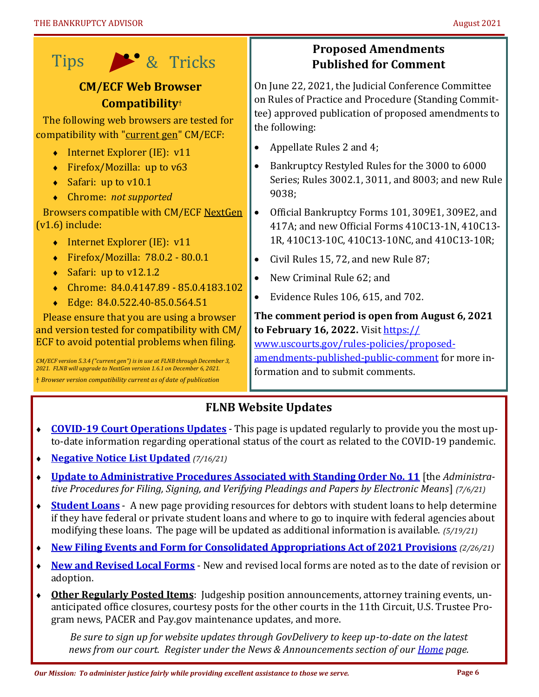<span id="page-5-0"></span>

# **CM/ECF Web Browser Compatibility**†

 The following web browsers are tested for compatibility with "current gen" CM/ECF:

- $\bullet$  Internet Explorer (IE): v11
- ◆ Firefox/Mozilla: up to v63
- $\triangleleft$  Safari: up to v10.1
- Chrome: *not supported*

 Browsers compatible with CM/ECF NextGen (v1.6) include:

- Internet Explorer (IE): v11
- Firefox/Mozilla: 78.0.2 80.0.1
- $\bullet$  Safari: up to v12.1.2
- Chrome: 84.0.4147.89 85.0.4183.102
- Edge: 84.0.522.40-85.0.564.51

 Please ensure that you are using a browser and version tested for compatibility with CM/ ECF to avoid potential problems when filing.

*CM/ECF version 5.3.4 ("current gen") is in use at FLNB through December 3, 2021. FLNB will upgrade to NextGen version 1.6.1 on December 6, 2021.* 

† *Browser version compatibility current as of date of publication*

# **Proposed Amendments Published for Comment**

On June 22, 2021, the Judicial Conference Committee on Rules of Practice and Procedure (Standing Committee) approved publication of proposed amendments to the following:

- Appellate Rules 2 and 4;
- Bankruptcy Restyled Rules for the 3000 to 6000 Series; Rules 3002.1, 3011, and 8003; and new Rule 9038;
- Official Bankruptcy Forms 101, 309E1, 309E2, and 417A; and new Official Forms 410C13-1N, 410C13- 1R, 410C13-10C, 410C13-10NC, and 410C13-10R;
- Civil Rules 15, 72, and new Rule 87;
- New Criminal Rule 62; and
- Evidence Rules 106, 615, and 702.

**The comment period is open from August 6, 2021 to February 16, 2022.** Visit [https://](https://www.uscourts.gov/rules-policies/proposed-amendments-published-public-comment) [www.uscourts.gov/rules](https://www.uscourts.gov/rules-policies/proposed-amendments-published-public-comment)-policies/proposed-

[amendments](https://www.uscourts.gov/rules-policies/proposed-amendments-published-public-comment)-published-public-comment for more information and to submit comments.

# **FLNB Website Updates**

- **COVID-[19 Court Operations Updates](https://www.flnb.uscourts.gov/news/covid-19-court-operations-update)** This page is updated regularly to provide you the most upto-date information regarding operational status of the court as related to the COVID-19 pandemic.
- **[Negative Notice List Updated](https://www.flnb.uscourts.gov/sites/flnb/files/negative_notice.pdf)** *(7/16/21)*
- **[Update to Administrative Procedures Associated with Standing Order No. 11](https://www.flnb.uscourts.gov/news/update-administrative-procedures-associated-standing-order-no-11)** [the *Administrative Procedures for Filing, Signing, and Verifying Pleadings and Papers by Electronic Means*] *(7/6/21)*
- **[Student Loans](https://www.flnb.uscourts.gov/news/court-launches-new-student-loans-webpage)** A new page providing resources for debtors with student loans to help determine if they have federal or private student loans and where to go to inquire with federal agencies about modifying these loans. The page will be updated as additional information is available. *(5/19/21)*
- **[New Filing Events and Form for Consolidated Appropriations Act of 2021 Provisions](https://www.flnb.uscourts.gov/news/new-filing-events-and-form-consolidated-appropriations-act-2021-provisions)** *(2/26/21)*
- **[New and Revised Local Forms](https://www.flnb.uscourts.gov/forms)** New and revised local forms are noted as to the date of revision or adoption.
- **Other Regularly Posted Items**: Judgeship position announcements, attorney training events, unanticipated office closures, courtesy posts for the other courts in the 11th Circuit, U.S. Trustee Program news, PACER and Pay.gov maintenance updates, and more.

*Be sure to sign up for website updates through GovDelivery to keep up-to-date on the latest news from our court. Register under the News & Announcements section of our <i>[Home](https://www.flnb.uscourts.gov)* page.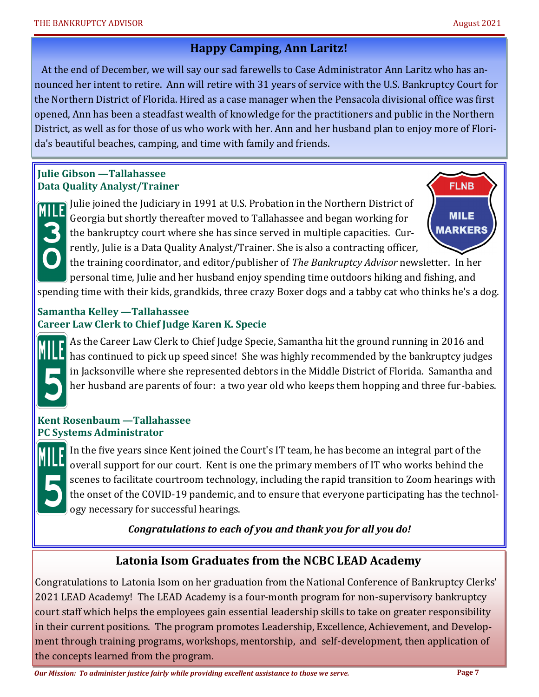#### **Happy Camping, Ann Laritz!**

<span id="page-6-0"></span> At the end of December, we will say our sad farewells to Case Administrator Ann Laritz who has announced her intent to retire. Ann will retire with 31 years of service with the U.S. Bankruptcy Court for the Northern District of Florida. Hired as a case manager when the Pensacola divisional office was first opened, Ann has been a steadfast wealth of knowledge for the practitioners and public in the Northern District, as well as for those of us who work with her. Ann and her husband plan to enjoy more of Florida's beautiful beaches, camping, and time with family and friends.

#### **Julie Gibson —Tallahassee Data Quality Analyst/Trainer**

Julie joined the Judiciary in 1991 at U.S. Probation in the Northern District of Georgia but shortly thereafter moved to Tallahassee and began working for the bankruptcy court where she has since served in multiple capacities. Currently, Julie is a Data Quality Analyst/Trainer. She is also a contracting officer,

**FLNB MILE MARKERS** 

the training coordinator, and editor/publisher of *The Bankruptcy Advisor* newsletter. In her personal time, Julie and her husband enjoy spending time outdoors hiking and fishing, and spending time with their kids, grandkids, three crazy Boxer dogs and a tabby cat who thinks he's a dog.

#### **Samantha Kelley —Tallahassee Career Law Clerk to Chief Judge Karen K. Specie**

As the Career Law Clerk to Chief Judge Specie, Samantha hit the ground running in 2016 and has continued to pick up speed since! She was highly recommended by the bankruptcy judges in Jacksonville where she represented debtors in the Middle District of Florida. Samantha and her husband are parents of four: a two year old who keeps them hopping and three fur-babies.

#### **Kent Rosenbaum —Tallahassee PC Systems Administrator**

In the five years since Kent joined the Court's IT team, he has become an integral part of the overall support for our court. Kent is one the primary members of IT who works behind the scenes to facilitate courtroom technology, including the rapid transition to Zoom hearings with the onset of the COVID-19 pandemic, and to ensure that everyone participating has the technology necessary for successful hearings.

*Congratulations to each of you and thank you for all you do!*

# **Latonia Isom Graduates from the NCBC LEAD Academy**

Congratulations to Latonia Isom on her graduation from the National Conference of Bankruptcy Clerks' 2021 LEAD Academy! The LEAD Academy is a four-month program for non-supervisory bankruptcy court staff which helps the employees gain essential leadership skills to take on greater responsibility in their current positions. The program promotes Leadership, Excellence, Achievement, and Development through training programs, workshops, mentorship, and self-development, then application of the concepts learned from the program.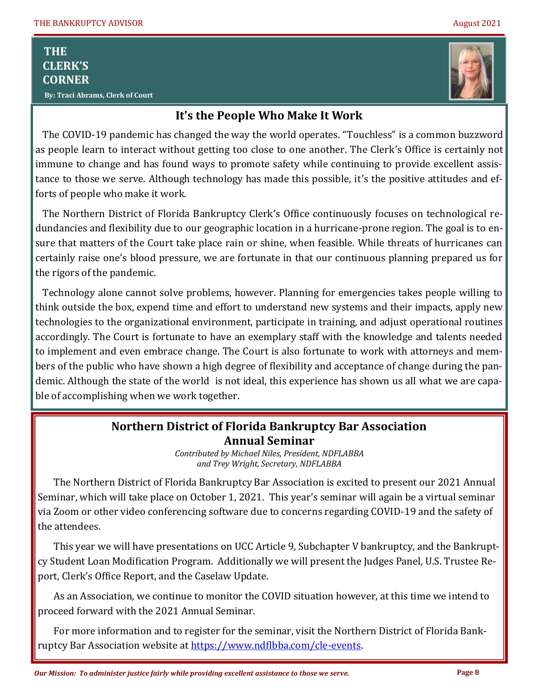# **THE CLERK'S CORNER**

<span id="page-7-0"></span>Ī





# **It's the People Who Make It Work**

 The COVID-19 pandemic has changed the way the world operates. "Touchless" is a common buzzword as people learn to interact without getting too close to one another. The Clerk's Office is certainly not immune to change and has found ways to promote safety while continuing to provide excellent assistance to those we serve. Although technology has made this possible, it's the positive attitudes and efforts of people who make it work.

 The Northern District of Florida Bankruptcy Clerk's Office continuously focuses on technological redundancies and flexibility due to our geographic location in a hurricane-prone region. The goal is to ensure that matters of the Court take place rain or shine, when feasible. While threats of hurricanes can certainly raise one's blood pressure, we are fortunate in that our continuous planning prepared us for the rigors of the pandemic.

 Technology alone cannot solve problems, however. Planning for emergencies takes people willing to think outside the box, expend time and effort to understand new systems and their impacts, apply new technologies to the organizational environment, participate in training, and adjust operational routines accordingly. The Court is fortunate to have an exemplary staff with the knowledge and talents needed to implement and even embrace change. The Court is also fortunate to work with attorneys and members of the public who have shown a high degree of flexibility and acceptance of change during the pandemic. Although the state of the world is not ideal, this experience has shown us all what we are capable of accomplishing when we work together.

# **Northern District of Florida Bankruptcy Bar Association Annual Seminar**

*Contributed by Michael Niles, President, NDFLABBA and Trey Wright, Secretary, NDFLABBA*

The Northern District of Florida Bankruptcy Bar Association is excited to present our 2021 Annual Seminar, which will take place on October 1, 2021. This year's seminar will again be a virtual seminar via Zoom or other video conferencing software due to concerns regarding COVID-19 and the safety of the attendees.

This year we will have presentations on UCC Article 9, Subchapter V bankruptcy, and the Bankruptcy Student Loan Modification Program. Additionally we will present the Judges Panel, U.S. Trustee Report, Clerk's Office Report, and the Caselaw Update.

As an Association, we continue to monitor the COVID situation however, at this time we intend to proceed forward with the 2021 Annual Seminar.

For more information and to register for the seminar, visit the Northern District of Florida Bankruptcy Bar Association website at [https://www.ndflbba.com/cle](https://www.ndflbba.com/cle-events)-events.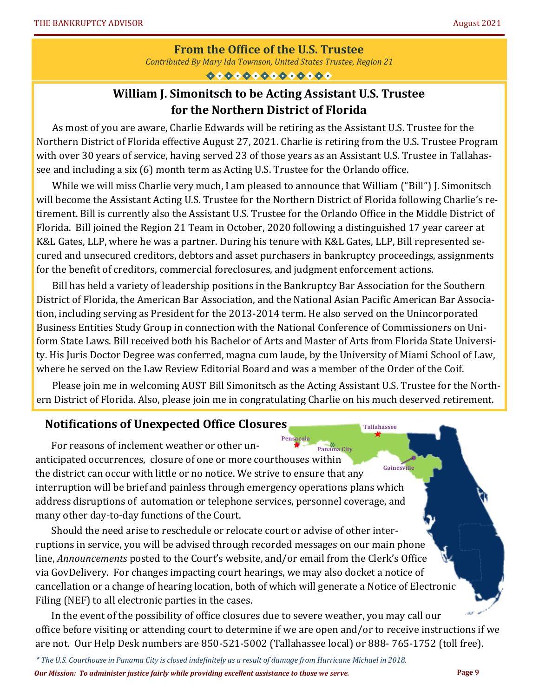#### **From the Office of the U.S. Trustee**

*Contributed By Mary Ida Townson, United States Trustee, Region 21*

 $00000000000000$ 

# **William J. Simonitsch to be Acting Assistant U.S. Trustee for the Northern District of Florida**

<span id="page-8-0"></span>As most of you are aware, Charlie Edwards will be retiring as the Assistant U.S. Trustee for the Northern District of Florida effective August 27, 2021. Charlie is retiring from the U.S. Trustee Program with over 30 years of service, having served 23 of those years as an Assistant U.S. Trustee in Tallahassee and including a six (6) month term as Acting U.S. Trustee for the Orlando office.

While we will miss Charlie very much, I am pleased to announce that William ("Bill") J. Simonitsch will become the Assistant Acting U.S. Trustee for the Northern District of Florida following Charlie's retirement. Bill is currently also the Assistant U.S. Trustee for the Orlando Office in the Middle District of Florida. Bill joined the Region 21 Team in October, 2020 following a distinguished 17 year career at K&L Gates, LLP, where he was a partner. During his tenure with K&L Gates, LLP, Bill represented secured and unsecured creditors, debtors and asset purchasers in bankruptcy proceedings, assignments for the benefit of creditors, commercial foreclosures, and judgment enforcement actions.

Bill has held a variety of leadership positions in the Bankruptcy Bar Association for the Southern District of Florida, the American Bar Association, and the National Asian Pacific American Bar Association, including serving as President for the 2013-2014 term. He also served on the Unincorporated Business Entities Study Group in connection with the National Conference of Commissioners on Uniform State Laws. Bill received both his Bachelor of Arts and Master of Arts from Florida State University. His Juris Doctor Degree was conferred, magna cum laude, by the University of Miami School of Law, where he served on the Law Review Editorial Board and was a member of the Order of the Coif.

Please join me in welcoming AUST Bill Simonitsch as the Acting Assistant U.S. Trustee for the Northern District of Florida. Also, please join me in congratulating Charlie on his much deserved retirement.

#### **Notifications of Unexpected Office Closures**

**Pensacola Gainesville** For reasons of inclement weather or other unanticipated occurrences, closure of one or more courthouses within the district can occur with little or no notice. We strive to ensure that any interruption will be brief and painless through emergency operations plans which address disruptions of automation or telephone services, personnel coverage, and many other day-to-day functions of the Court. **Panama City** 

Should the need arise to reschedule or relocate court or advise of other interruptions in service, you will be advised through recorded messages on our main phone line, *Announcements* posted to the Court's website, and/or email from the Clerk's Office via GovDelivery. For changes impacting court hearings, we may also docket a notice of cancellation or a change of hearing location, both of which will generate a Notice of Electronic Filing (NEF) to all electronic parties in the cases.

In the event of the possibility of office closures due to severe weather, you may call our office before visiting or attending court to determine if we are open and/or to receive instructions if we are not. Our Help Desk numbers are 850-521-5002 (Tallahassee local) or 888- 765-1752 (toll free).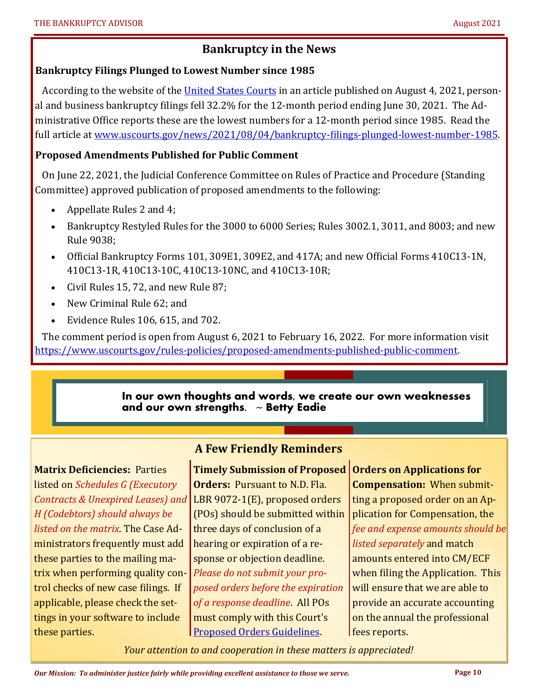# **Bankruptcy in the News**

#### <span id="page-9-0"></span>**Bankruptcy Filings Plunged to Lowest Number since 1985**

According to the website of the [United States Courts](http://www.uscourts.gov) in an article published on August 4, 2021, personal and business bankruptcy filings fell 32.2% for the 12-month period ending June 30, 2021. The Administrative Office reports these are the lowest numbers for a 12-month period since 1985. Read the full article at [www.uscourts.gov/news/2021/08/04/bankruptcy](https://www.uscourts.gov/news/2021/08/04/bankruptcy-filings-plunged-lowest-number-1985)-filings-plunged-lowest-number-1985.

#### **Proposed Amendments Published for Public Comment**

 On June 22, 2021, the Judicial Conference Committee on Rules of Practice and Procedure (Standing Committee) approved publication of proposed amendments to the following:

- Appellate Rules 2 and 4;
- Bankruptcy Restyled Rules for the 3000 to 6000 Series; Rules 3002.1, 3011, and 8003; and new Rule 9038;
- Official Bankruptcy Forms 101, 309E1, 309E2, and 417A; and new Official Forms 410C13-1N, 410C13-1R, 410C13-10C, 410C13-10NC, and 410C13-10R;
- Civil Rules 15, 72, and new Rule 87;
- New Criminal Rule 62; and
- Evidence Rules 106, 615, and 702.

 The comment period is open from August 6, 2021 to February 16, 2022. For more information visit [https://www.uscourts.gov/rules](https://www.uscourts.gov/rules-policies/proposed-amendments-published-public-comment)-policies/proposed-amendments-published-public-comment.

#### **In our own thoughts and words, we create our own weaknesses and our own strengths. ~ Betty Eadie**

**Matrix Deficiencies:** Parties listed on *Schedules G (Executory Contracts & Unexpired Leases) and H (Codebtors) should always be listed on the matrix*. The Case Administrators frequently must add these parties to the mailing matrix when performing quality control checks of new case filings. If applicable, please check the settings in your software to include these parties.

# **A Few Friendly Reminders**

**Timely Submission of Proposed Orders on Applications for Orders:** Pursuant to N.D. Fla. LBR 9072-1(E), proposed orders (POs) should be submitted within three days of conclusion of a hearing or expiration of a response or objection deadline. *Please do not submit your proposed orders before the expiration of a response deadline*. All POs must comply with this Court's [Proposed Orders Guidelines.](https://www.flnb.uscourts.gov/proposed-order-guidelines) 

**Compensation:** When submitting a proposed order on an Application for Compensation, the *fee and expense amounts should be listed separately* and match amounts entered into CM/ECF when filing the Application. This will ensure that we are able to provide an accurate accounting on the annual the professional fees reports.

*Your attention to and cooperation in these matters is appreciated!*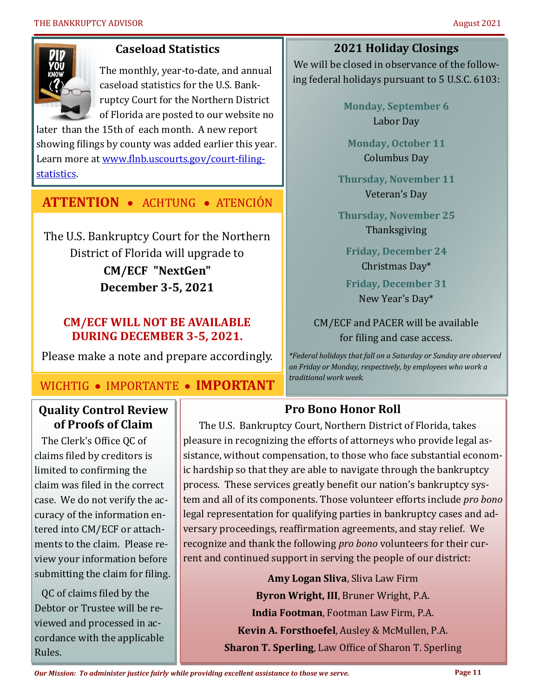<span id="page-10-0"></span>

## **Caseload Statistics**

The monthly, year-to-date, and annual caseload statistics for the U.S. Bankruptcy Court for the Northern District of Florida are posted to our website no

later than the 15th of each month. A new report showing filings by county was added earlier this year. Learn more at [www.flnb.uscourts.gov/court](https://www.flnb.uscourts.gov/court-filing-statistics)-filing[statistics.](https://www.flnb.uscourts.gov/court-filing-statistics)

**ATTENTION** • ACHTUNG • ATENCIÓN

The U.S. Bankruptcy Court for the Northern District of Florida will upgrade to **CM/ECF "NextGen" December 3-5, 2021**

# **CM/ECF WILL NOT BE AVAILABLE DURING DECEMBER 3-5, 2021.**

Please make a note and prepare accordingly.

# WICHTIG • IMPORTANTE • **IMPORTANT**

# **Quality Control Review of Proofs of Claim**

 The Clerk's Office QC of claims filed by creditors is limited to confirming the claim was filed in the correct case. We do not verify the accuracy of the information entered into CM/ECF or attachments to the claim. Please review your information before submitting the claim for filing.

 QC of claims filed by the Debtor or Trustee will be reviewed and processed in accordance with the applicable Rules.

# **2021 Holiday Closings**

We will be closed in observance of the following federal holidays pursuant to 5 U.S.C. 6103:

> **Monday, September 6** Labor Day

**Monday, October 11** Columbus Day

**Thursday, November 11** Veteran's Day

**Thursday, November 25** Thanksgiving

**Friday, December 24** Christmas Day\*

**Friday, December 31** New Year's Day\*

CM/ECF and PACER will be available for filing and case access.

*\*Federal holidays that fall on a Saturday or Sunday are observed on Friday or Monday, respectively, by employees who work a traditional work week.* 

# **Pro Bono Honor Roll**

The U.S. Bankruptcy Court, Northern District of Florida, takes pleasure in recognizing the efforts of attorneys who provide legal assistance, without compensation, to those who face substantial economic hardship so that they are able to navigate through the bankruptcy process. These services greatly benefit our nation's bankruptcy system and all of its components. Those volunteer efforts include *pro bono* legal representation for qualifying parties in bankruptcy cases and adversary proceedings, reaffirmation agreements, and stay relief. We recognize and thank the following *pro bono* volunteers for their current and continued support in serving the people of our district:

> **Amy Logan Sliva**, Sliva Law Firm **Byron Wright, III**, Bruner Wright, P.A. **India Footman**, Footman Law Firm, P.A. **Kevin A. Forsthoefel**, Ausley & McMullen, P.A. **Sharon T. Sperling**, Law Office of Sharon T. Sperling